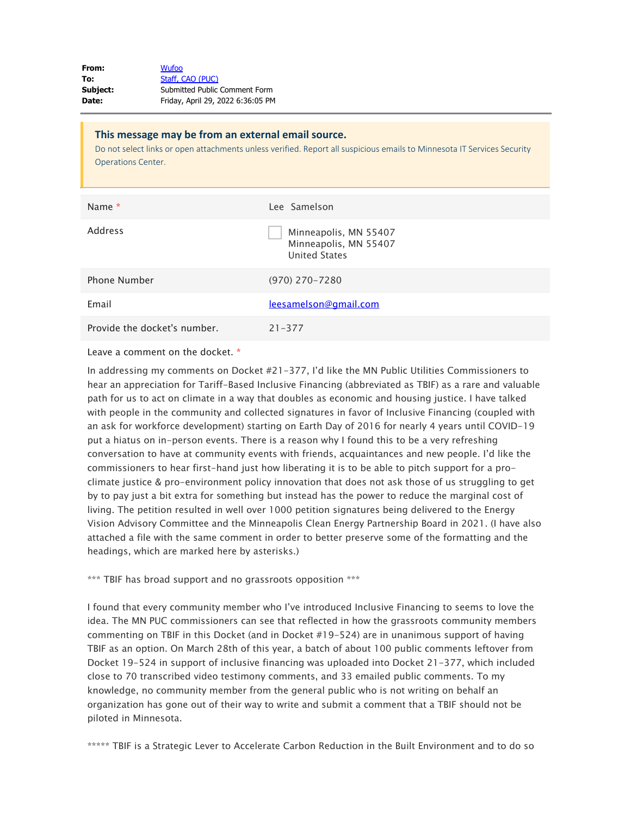| From:    | <b>Wufoo</b>                      |
|----------|-----------------------------------|
| To:      | Staff, CAO (PUC)                  |
| Subject: | Submitted Public Comment Form     |
| Date:    | Friday, April 29, 2022 6:36:05 PM |

| This message may be from an external email source.<br>Do not select links or open attachments unless verified. Report all suspicious emails to Minnesota IT Services Security<br><b>Operations Center.</b> |                                                                        |
|------------------------------------------------------------------------------------------------------------------------------------------------------------------------------------------------------------|------------------------------------------------------------------------|
| Name *                                                                                                                                                                                                     | Lee Samelson                                                           |
| Address                                                                                                                                                                                                    | Minneapolis, MN 55407<br>Minneapolis, MN 55407<br><b>United States</b> |
| Phone Number                                                                                                                                                                                               | $(970)$ 270-7280                                                       |
| Email                                                                                                                                                                                                      | leesamelson@gmail.com                                                  |
| Provide the docket's number.                                                                                                                                                                               | $21 - 377$                                                             |

Leave a comment on the docket. \*

In addressing my comments on Docket #21-377, I'd like the MN Public Utilities Commissioners to hear an appreciation for Tariff-Based Inclusive Financing (abbreviated as TBIF) as a rare and valuable path for us to act on climate in a way that doubles as economic and housing justice. I have talked with people in the community and collected signatures in favor of Inclusive Financing (coupled with an ask for workforce development) starting on Earth Day of 2016 for nearly 4 years until COVID-19 put a hiatus on in-person events. There is a reason why I found this to be a very refreshing conversation to have at community events with friends, acquaintances and new people. I'd like the commissioners to hear first-hand just how liberating it is to be able to pitch support for a proclimate justice & pro-environment policy innovation that does not ask those of us struggling to get by to pay just a bit extra for something but instead has the power to reduce the marginal cost of living. The petition resulted in well over 1000 petition signatures being delivered to the Energy Vision Advisory Committee and the Minneapolis Clean Energy Partnership Board in 2021. (I have also attached a file with the same comment in order to better preserve some of the formatting and the headings, which are marked here by asterisks.)

\*\*\* TBIF has broad support and no grassroots opposition \*\*\*

I found that every community member who I've introduced Inclusive Financing to seems to love the idea. The MN PUC commissioners can see that reflected in how the grassroots community members commenting on TBIF in this Docket (and in Docket #19-524) are in unanimous support of having TBIF as an option. On March 28th of this year, a batch of about 100 public comments leftover from Docket 19-524 in support of inclusive financing was uploaded into Docket 21-377, which included close to 70 transcribed video testimony comments, and 33 emailed public comments. To my knowledge, no community member from the general public who is not writing on behalf an organization has gone out of their way to write and submit a comment that a TBIF should not be piloted in Minnesota.

\*\*\*\*\* TBIF is a Strategic Lever to Accelerate Carbon Reduction in the Built Environment and to do so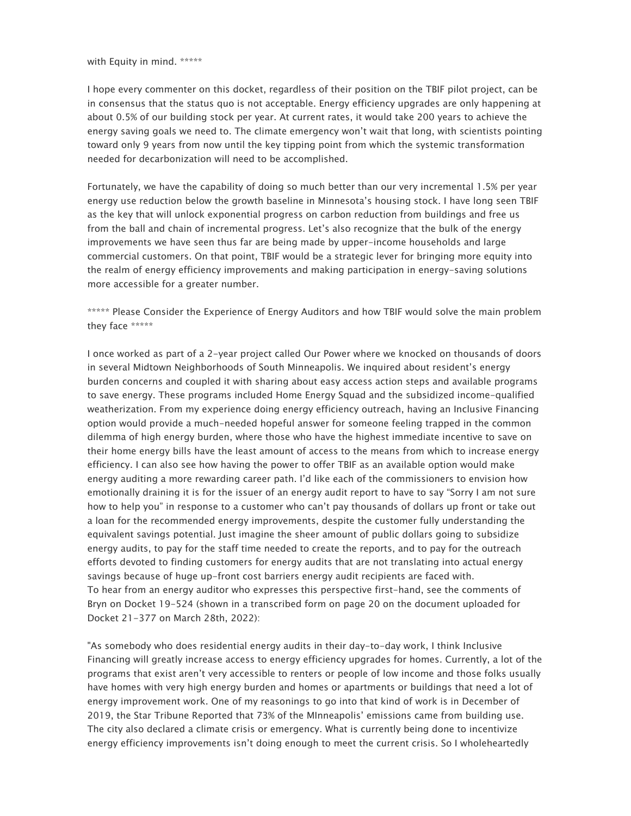with Equity in mind. \*\*\*\*\*

I hope every commenter on this docket, regardless of their position on the TBIF pilot project, can be in consensus that the status quo is not acceptable. Energy efficiency upgrades are only happening at about 0.5% of our building stock per year. At current rates, it would take 200 years to achieve the energy saving goals we need to. The climate emergency won't wait that long, with scientists pointing toward only 9 years from now until the key tipping point from which the systemic transformation needed for decarbonization will need to be accomplished.

Fortunately, we have the capability of doing so much better than our very incremental 1.5% per year energy use reduction below the growth baseline in Minnesota's housing stock. I have long seen TBIF as the key that will unlock exponential progress on carbon reduction from buildings and free us from the ball and chain of incremental progress. Let's also recognize that the bulk of the energy improvements we have seen thus far are being made by upper-income households and large commercial customers. On that point, TBIF would be a strategic lever for bringing more equity into the realm of energy efficiency improvements and making participation in energy-saving solutions more accessible for a greater number.

\*\*\*\*\* Please Consider the Experience of Energy Auditors and how TBIF would solve the main problem they face \*\*\*\*\*

I once worked as part of a 2-year project called Our Power where we knocked on thousands of doors in several Midtown Neighborhoods of South Minneapolis. We inquired about resident's energy burden concerns and coupled it with sharing about easy access action steps and available programs to save energy. These programs included Home Energy Squad and the subsidized income-qualified weatherization. From my experience doing energy efficiency outreach, having an Inclusive Financing option would provide a much-needed hopeful answer for someone feeling trapped in the common dilemma of high energy burden, where those who have the highest immediate incentive to save on their home energy bills have the least amount of access to the means from which to increase energy efficiency. I can also see how having the power to offer TBIF as an available option would make energy auditing a more rewarding career path. I'd like each of the commissioners to envision how emotionally draining it is for the issuer of an energy audit report to have to say "Sorry I am not sure how to help you" in response to a customer who can't pay thousands of dollars up front or take out a loan for the recommended energy improvements, despite the customer fully understanding the equivalent savings potential. Just imagine the sheer amount of public dollars going to subsidize energy audits, to pay for the staff time needed to create the reports, and to pay for the outreach efforts devoted to finding customers for energy audits that are not translating into actual energy savings because of huge up-front cost barriers energy audit recipients are faced with. To hear from an energy auditor who expresses this perspective first-hand, see the comments of Bryn on Docket 19-524 (shown in a transcribed form on page 20 on the document uploaded for Docket 21-377 on March 28th, 2022):

"As somebody who does residential energy audits in their day-to-day work, I think Inclusive Financing will greatly increase access to energy efficiency upgrades for homes. Currently, a lot of the programs that exist aren't very accessible to renters or people of low income and those folks usually have homes with very high energy burden and homes or apartments or buildings that need a lot of energy improvement work. One of my reasonings to go into that kind of work is in December of 2019, the Star Tribune Reported that 73% of the MInneapolis' emissions came from building use. The city also declared a climate crisis or emergency. What is currently being done to incentivize energy efficiency improvements isn't doing enough to meet the current crisis. So I wholeheartedly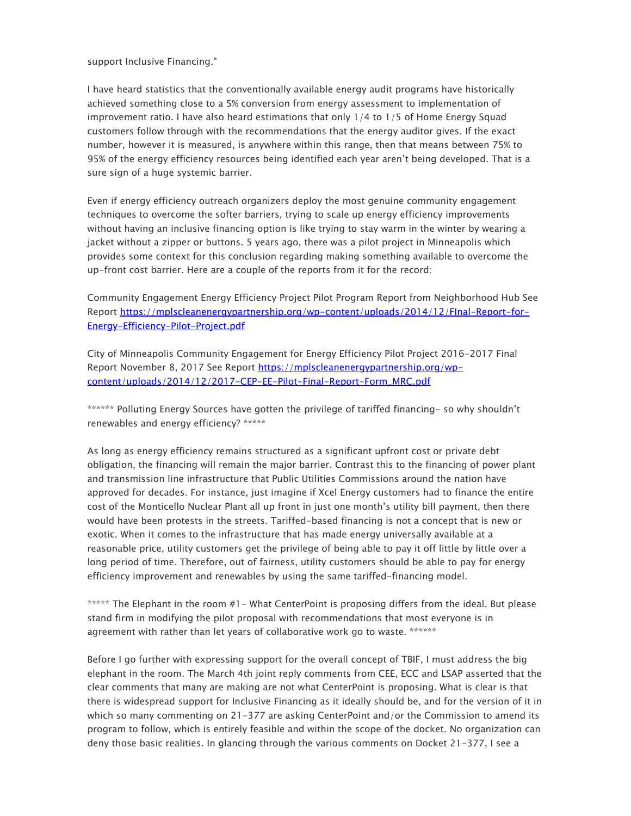support Inclusive Financing."

I have heard statistics that the conventionally available energy audit programs have historically achieved something close to a 5% conversion from energy assessment to implementation of improvement ratio. I have also heard estimations that only 1/4 to 1/5 of Home Energy Squad customers follow through with the recommendations that the energy auditor gives. If the exact number, however it is measured, is anywhere within this range, then that means between 75% to 95% of the energy efficiency resources being identified each year aren't being developed. That is a sure sign of a huge systemic barrier.

Even if energy efficiency outreach organizers deploy the most genuine community engagement techniques to overcome the softer barriers, trying to scale up energy efficiency improvements without having an inclusive financing option is like trying to stay warm in the winter by wearing a jacket without a zipper or buttons. 5 years ago, there was a pilot project in Minneapolis which provides some context for this conclusion regarding making something available to overcome the up-front cost barrier. Here are a couple of the reports from it for the record:

Community Engagement Energy Efficiency Project Pilot Program Report from Neighborhood Hub See Report [https://mplscleanenergypartnership.org/wp-content/uploads/2014/12/FInal-Report-for-](https://gcc02.safelinks.protection.outlook.com/?url=https%3A%2F%2Fmplscleanenergypartnership.org%2Fwp-content%2Fuploads%2F2014%2F12%2FFInal-Report-for-Energy-Efficiency-Pilot-Project.pdf&data=05%7C01%7Cconsumer.puc%40state.mn.us%7Ca15117a69a9c47273c0408da2a38d970%7Ceb14b04624c445198f26b89c2159828c%7C0%7C0%7C637868721651345933%7CUnknown%7CTWFpbGZsb3d8eyJWIjoiMC4wLjAwMDAiLCJQIjoiV2luMzIiLCJBTiI6Ik1haWwiLCJXVCI6Mn0%3D%7C3000%7C%7C%7C&sdata=5aserjXf6xc6TAoigMIgOuRhWJ%2FA22X4Sqa9LavZvWs%3D&reserved=0)[Energy-Efficiency-Pilot-Project.pdf](https://gcc02.safelinks.protection.outlook.com/?url=https%3A%2F%2Fmplscleanenergypartnership.org%2Fwp-content%2Fuploads%2F2014%2F12%2FFInal-Report-for-Energy-Efficiency-Pilot-Project.pdf&data=05%7C01%7Cconsumer.puc%40state.mn.us%7Ca15117a69a9c47273c0408da2a38d970%7Ceb14b04624c445198f26b89c2159828c%7C0%7C0%7C637868721651345933%7CUnknown%7CTWFpbGZsb3d8eyJWIjoiMC4wLjAwMDAiLCJQIjoiV2luMzIiLCJBTiI6Ik1haWwiLCJXVCI6Mn0%3D%7C3000%7C%7C%7C&sdata=5aserjXf6xc6TAoigMIgOuRhWJ%2FA22X4Sqa9LavZvWs%3D&reserved=0)

City of Minneapolis Community Engagement for Energy Efficiency Pilot Project 2016-2017 Final Report November 8, 2017 See Report [https://mplscleanenergypartnership.org/wp](https://gcc02.safelinks.protection.outlook.com/?url=https%3A%2F%2Fmplscleanenergypartnership.org%2Fwp-content%2Fuploads%2F2014%2F12%2F2017-CEP-EE-Pilot-Final-Report-Form_MRC.pdf&data=05%7C01%7Cconsumer.puc%40state.mn.us%7Ca15117a69a9c47273c0408da2a38d970%7Ceb14b04624c445198f26b89c2159828c%7C0%7C0%7C637868721651345933%7CUnknown%7CTWFpbGZsb3d8eyJWIjoiMC4wLjAwMDAiLCJQIjoiV2luMzIiLCJBTiI6Ik1haWwiLCJXVCI6Mn0%3D%7C3000%7C%7C%7C&sdata=BkWdMbhbOkxw%2FvSaLyrijmAO%2BLAp3E0zOtFKvMhzTSs%3D&reserved=0)[content/uploads/2014/12/2017-CEP-EE-Pilot-Final-Report-Form\\_MRC.pdf](https://gcc02.safelinks.protection.outlook.com/?url=https%3A%2F%2Fmplscleanenergypartnership.org%2Fwp-content%2Fuploads%2F2014%2F12%2F2017-CEP-EE-Pilot-Final-Report-Form_MRC.pdf&data=05%7C01%7Cconsumer.puc%40state.mn.us%7Ca15117a69a9c47273c0408da2a38d970%7Ceb14b04624c445198f26b89c2159828c%7C0%7C0%7C637868721651345933%7CUnknown%7CTWFpbGZsb3d8eyJWIjoiMC4wLjAwMDAiLCJQIjoiV2luMzIiLCJBTiI6Ik1haWwiLCJXVCI6Mn0%3D%7C3000%7C%7C%7C&sdata=BkWdMbhbOkxw%2FvSaLyrijmAO%2BLAp3E0zOtFKvMhzTSs%3D&reserved=0)

\*\*\*\*\*\* Polluting Energy Sources have gotten the privilege of tariffed financing- so why shouldn't renewables and energy efficiency? \*\*\*\*\*

As long as energy efficiency remains structured as a significant upfront cost or private debt obligation, the financing will remain the major barrier. Contrast this to the financing of power plant and transmission line infrastructure that Public Utilities Commissions around the nation have approved for decades. For instance, just imagine if Xcel Energy customers had to finance the entire cost of the Monticello Nuclear Plant all up front in just one month's utility bill payment, then there would have been protests in the streets. Tariffed-based financing is not a concept that is new or exotic. When it comes to the infrastructure that has made energy universally available at a reasonable price, utility customers get the privilege of being able to pay it off little by little over a long period of time. Therefore, out of fairness, utility customers should be able to pay for energy efficiency improvement and renewables by using the same tariffed-financing model.

\*\*\*\*\* The Elephant in the room #1- What CenterPoint is proposing differs from the ideal. But please stand firm in modifying the pilot proposal with recommendations that most everyone is in agreement with rather than let years of collaborative work go to waste. \*\*\*\*\*\*

Before I go further with expressing support for the overall concept of TBIF, I must address the big elephant in the room. The March 4th joint reply comments from CEE, ECC and LSAP asserted that the clear comments that many are making are not what CenterPoint is proposing. What is clear is that there is widespread support for Inclusive Financing as it ideally should be, and for the version of it in which so many commenting on 21-377 are asking CenterPoint and/or the Commission to amend its program to follow, which is entirely feasible and within the scope of the docket. No organization can deny those basic realities. In glancing through the various comments on Docket 21-377, I see a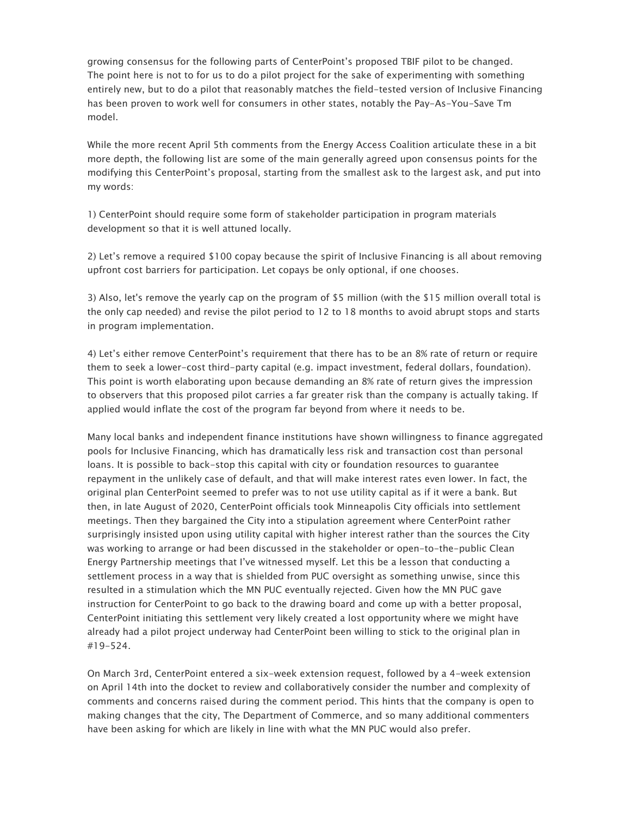growing consensus for the following parts of CenterPoint's proposed TBIF pilot to be changed. The point here is not to for us to do a pilot project for the sake of experimenting with something entirely new, but to do a pilot that reasonably matches the field-tested version of Inclusive Financing has been proven to work well for consumers in other states, notably the Pay-As-You-Save Tm model.

While the more recent April 5th comments from the Energy Access Coalition articulate these in a bit more depth, the following list are some of the main generally agreed upon consensus points for the modifying this CenterPoint's proposal, starting from the smallest ask to the largest ask, and put into my words:

1) CenterPoint should require some form of stakeholder participation in program materials development so that it is well attuned locally.

2) Let's remove a required \$100 copay because the spirit of Inclusive Financing is all about removing upfront cost barriers for participation. Let copays be only optional, if one chooses.

3) Also, let's remove the yearly cap on the program of \$5 million (with the \$15 million overall total is the only cap needed) and revise the pilot period to 12 to 18 months to avoid abrupt stops and starts in program implementation.

4) Let's either remove CenterPoint's requirement that there has to be an 8% rate of return or require them to seek a lower-cost third-party capital (e.g. impact investment, federal dollars, foundation). This point is worth elaborating upon because demanding an 8% rate of return gives the impression to observers that this proposed pilot carries a far greater risk than the company is actually taking. If applied would inflate the cost of the program far beyond from where it needs to be.

Many local banks and independent finance institutions have shown willingness to finance aggregated pools for Inclusive Financing, which has dramatically less risk and transaction cost than personal loans. It is possible to back-stop this capital with city or foundation resources to guarantee repayment in the unlikely case of default, and that will make interest rates even lower. In fact, the original plan CenterPoint seemed to prefer was to not use utility capital as if it were a bank. But then, in late August of 2020, CenterPoint officials took Minneapolis City officials into settlement meetings. Then they bargained the City into a stipulation agreement where CenterPoint rather surprisingly insisted upon using utility capital with higher interest rather than the sources the City was working to arrange or had been discussed in the stakeholder or open-to-the-public Clean Energy Partnership meetings that I've witnessed myself. Let this be a lesson that conducting a settlement process in a way that is shielded from PUC oversight as something unwise, since this resulted in a stimulation which the MN PUC eventually rejected. Given how the MN PUC gave instruction for CenterPoint to go back to the drawing board and come up with a better proposal, CenterPoint initiating this settlement very likely created a lost opportunity where we might have already had a pilot project underway had CenterPoint been willing to stick to the original plan in #19-524.

On March 3rd, CenterPoint entered a six-week extension request, followed by a 4-week extension on April 14th into the docket to review and collaboratively consider the number and complexity of comments and concerns raised during the comment period. This hints that the company is open to making changes that the city, The Department of Commerce, and so many additional commenters have been asking for which are likely in line with what the MN PUC would also prefer.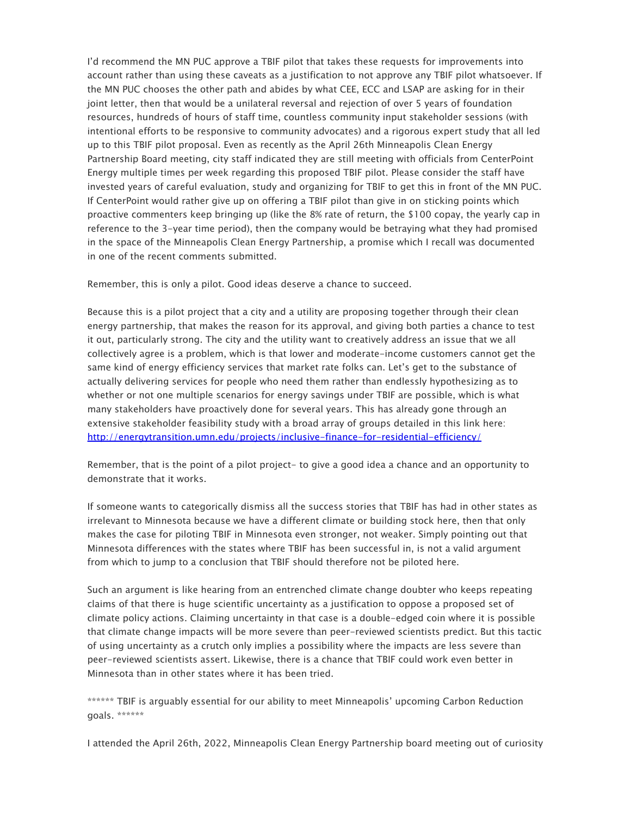I'd recommend the MN PUC approve a TBIF pilot that takes these requests for improvements into account rather than using these caveats as a justification to not approve any TBIF pilot whatsoever. If the MN PUC chooses the other path and abides by what CEE, ECC and LSAP are asking for in their joint letter, then that would be a unilateral reversal and rejection of over 5 years of foundation resources, hundreds of hours of staff time, countless community input stakeholder sessions (with intentional efforts to be responsive to community advocates) and a rigorous expert study that all led up to this TBIF pilot proposal. Even as recently as the April 26th Minneapolis Clean Energy Partnership Board meeting, city staff indicated they are still meeting with officials from CenterPoint Energy multiple times per week regarding this proposed TBIF pilot. Please consider the staff have invested years of careful evaluation, study and organizing for TBIF to get this in front of the MN PUC. If CenterPoint would rather give up on offering a TBIF pilot than give in on sticking points which proactive commenters keep bringing up (like the 8% rate of return, the \$100 copay, the yearly cap in reference to the 3-year time period), then the company would be betraying what they had promised in the space of the Minneapolis Clean Energy Partnership, a promise which I recall was documented in one of the recent comments submitted.

Remember, this is only a pilot. Good ideas deserve a chance to succeed.

Because this is a pilot project that a city and a utility are proposing together through their clean energy partnership, that makes the reason for its approval, and giving both parties a chance to test it out, particularly strong. The city and the utility want to creatively address an issue that we all collectively agree is a problem, which is that lower and moderate-income customers cannot get the same kind of energy efficiency services that market rate folks can. Let's get to the substance of actually delivering services for people who need them rather than endlessly hypothesizing as to whether or not one multiple scenarios for energy savings under TBIF are possible, which is what many stakeholders have proactively done for several years. This has already gone through an extensive stakeholder feasibility study with a broad array of groups detailed in this link here: [http://energytransition.umn.edu/projects/inclusive-finance-for-residential-efficiency/](https://gcc02.safelinks.protection.outlook.com/?url=http%3A%2F%2Fenergytransition.umn.edu%2Fprojects%2Finclusive-finance-for-residential-efficiency%2F&data=05%7C01%7Cconsumer.puc%40state.mn.us%7Ca15117a69a9c47273c0408da2a38d970%7Ceb14b04624c445198f26b89c2159828c%7C0%7C0%7C637868721651345933%7CUnknown%7CTWFpbGZsb3d8eyJWIjoiMC4wLjAwMDAiLCJQIjoiV2luMzIiLCJBTiI6Ik1haWwiLCJXVCI6Mn0%3D%7C3000%7C%7C%7C&sdata=07W50Su4zVN3maFMFbzU%2FIANLIhzPzv0DZvuHE7FsXk%3D&reserved=0)

Remember, that is the point of a pilot project- to give a good idea a chance and an opportunity to demonstrate that it works.

If someone wants to categorically dismiss all the success stories that TBIF has had in other states as irrelevant to Minnesota because we have a different climate or building stock here, then that only makes the case for piloting TBIF in Minnesota even stronger, not weaker. Simply pointing out that Minnesota differences with the states where TBIF has been successful in, is not a valid argument from which to jump to a conclusion that TBIF should therefore not be piloted here.

Such an argument is like hearing from an entrenched climate change doubter who keeps repeating claims of that there is huge scientific uncertainty as a justification to oppose a proposed set of climate policy actions. Claiming uncertainty in that case is a double-edged coin where it is possible that climate change impacts will be more severe than peer-reviewed scientists predict. But this tactic of using uncertainty as a crutch only implies a possibility where the impacts are less severe than peer-reviewed scientists assert. Likewise, there is a chance that TBIF could work even better in Minnesota than in other states where it has been tried.

\*\*\*\*\*\* TBIF is arguably essential for our ability to meet Minneapolis' upcoming Carbon Reduction goals. \*\*\*\*\*\*

I attended the April 26th, 2022, Minneapolis Clean Energy Partnership board meeting out of curiosity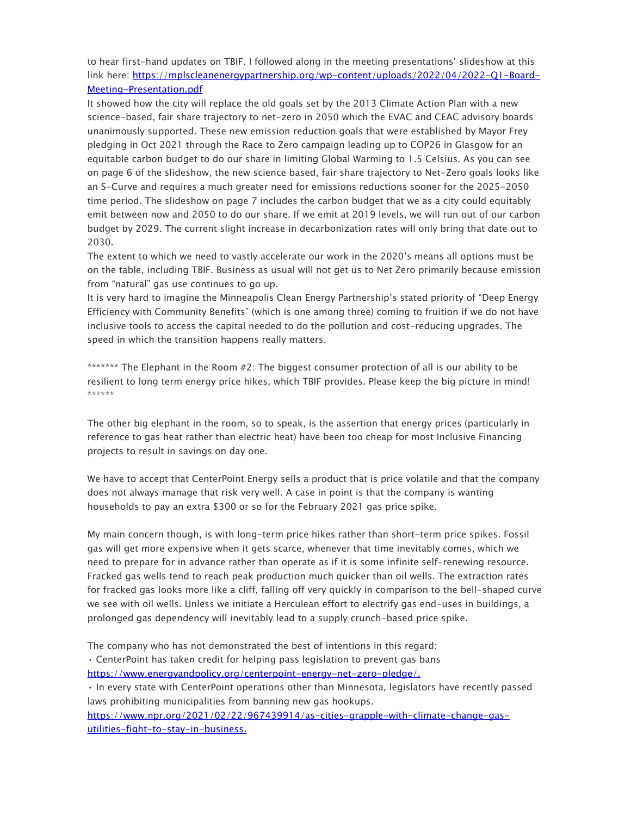to hear first-hand updates on TBIF. I followed along in the meeting presentations' slideshow at this link here: [https://mplscleanenergypartnership.org/wp-content/uploads/2022/04/2022-Q1-Board-](https://gcc02.safelinks.protection.outlook.com/?url=https%3A%2F%2Fmplscleanenergypartnership.org%2Fwp-content%2Fuploads%2F2022%2F04%2F2022-Q1-Board-Meeting-Presentation.pdf&data=05%7C01%7Cconsumer.puc%40state.mn.us%7Ca15117a69a9c47273c0408da2a38d970%7Ceb14b04624c445198f26b89c2159828c%7C0%7C0%7C637868721651502161%7CUnknown%7CTWFpbGZsb3d8eyJWIjoiMC4wLjAwMDAiLCJQIjoiV2luMzIiLCJBTiI6Ik1haWwiLCJXVCI6Mn0%3D%7C3000%7C%7C%7C&sdata=I0NkwQd1boLXvigumSgTi6AiReBawebOQL5gZkxsj%2FM%3D&reserved=0)[Meeting-Presentation.pdf](https://gcc02.safelinks.protection.outlook.com/?url=https%3A%2F%2Fmplscleanenergypartnership.org%2Fwp-content%2Fuploads%2F2022%2F04%2F2022-Q1-Board-Meeting-Presentation.pdf&data=05%7C01%7Cconsumer.puc%40state.mn.us%7Ca15117a69a9c47273c0408da2a38d970%7Ceb14b04624c445198f26b89c2159828c%7C0%7C0%7C637868721651502161%7CUnknown%7CTWFpbGZsb3d8eyJWIjoiMC4wLjAwMDAiLCJQIjoiV2luMzIiLCJBTiI6Ik1haWwiLCJXVCI6Mn0%3D%7C3000%7C%7C%7C&sdata=I0NkwQd1boLXvigumSgTi6AiReBawebOQL5gZkxsj%2FM%3D&reserved=0)

It showed how the city will replace the old goals set by the 2013 Climate Action Plan with a new science-based, fair share trajectory to net-zero in 2050 which the EVAC and CEAC advisory boards unanimously supported. These new emission reduction goals that were established by Mayor Frey pledging in Oct 2021 through the Race to Zero campaign leading up to COP26 in Glasgow for an equitable carbon budget to do our share in limiting Global Warming to 1.5 Celsius. As you can see on page 6 of the slideshow, the new science based, fair share trajectory to Net-Zero goals looks like an S-Curve and requires a much greater need for emissions reductions sooner for the 2025-2050 time period. The slideshow on page 7 includes the carbon budget that we as a city could equitably emit between now and 2050 to do our share. If we emit at 2019 levels, we will run out of our carbon budget by 2029. The current slight increase in decarbonization rates will only bring that date out to 2030.

The extent to which we need to vastly accelerate our work in the 2020's means all options must be on the table, including TBIF. Business as usual will not get us to Net Zero primarily because emission from "natural" gas use continues to go up.

It is very hard to imagine the Minneapolis Clean Energy Partnership's stated priority of "Deep Energy Efficiency with Community Benefits" (which is one among three) coming to fruition if we do not have inclusive tools to access the capital needed to do the pollution and cost-reducing upgrades. The speed in which the transition happens really matters.

\*\*\*\*\*\*\* The Elephant in the Room #2: The biggest consumer protection of all is our ability to be resilient to long term energy price hikes, which TBIF provides. Please keep the big picture in mind! \*\*\*\*\*\*

The other big elephant in the room, so to speak, is the assertion that energy prices (particularly in reference to gas heat rather than electric heat) have been too cheap for most Inclusive Financing projects to result in savings on day one.

We have to accept that CenterPoint Energy sells a product that is price volatile and that the company does not always manage that risk very well. A case in point is that the company is wanting households to pay an extra \$300 or so for the February 2021 gas price spike.

My main concern though, is with long-term price hikes rather than short-term price spikes. Fossil gas will get more expensive when it gets scarce, whenever that time inevitably comes, which we need to prepare for in advance rather than operate as if it is some infinite self-renewing resource. Fracked gas wells tend to reach peak production much quicker than oil wells. The extraction rates for fracked gas looks more like a cliff, falling off very quickly in comparison to the bell-shaped curve we see with oil wells. Unless we initiate a Herculean effort to electrify gas end-uses in buildings, a prolonged gas dependency will inevitably lead to a supply crunch-based price spike.

The company who has not demonstrated the best of intentions in this regard:

• CenterPoint has taken credit for helping pass legislation to prevent gas bans [https://www.energyandpolicy.org/centerpoint-energy-net-zero-pledge/.](https://gcc02.safelinks.protection.outlook.com/?url=https%3A%2F%2Fwww.energyandpolicy.org%2Fcenterpoint-energy-net-zero-pledge%2F&data=05%7C01%7Cconsumer.puc%40state.mn.us%7Ca15117a69a9c47273c0408da2a38d970%7Ceb14b04624c445198f26b89c2159828c%7C0%7C0%7C637868721651502161%7CUnknown%7CTWFpbGZsb3d8eyJWIjoiMC4wLjAwMDAiLCJQIjoiV2luMzIiLCJBTiI6Ik1haWwiLCJXVCI6Mn0%3D%7C3000%7C%7C%7C&sdata=xSJ2g99vkqzIHE6MWWwErkWes6xbyf%2FUZCP8AIffUZQ%3D&reserved=0)

• In every state with CenterPoint operations other than Minnesota, legislators have recently passed laws prohibiting municipalities from banning new gas hookups.

[https://www.npr.org/2021/02/22/967439914/as-cities-grapple-with-climate-change-gas](https://gcc02.safelinks.protection.outlook.com/?url=https%3A%2F%2Fwww.npr.org%2F2021%2F02%2F22%2F967439914%2Fas-cities-grapple-with-climate-change-gas-utilities-fight-to-stay-in-business.&data=05%7C01%7Cconsumer.puc%40state.mn.us%7Ca15117a69a9c47273c0408da2a38d970%7Ceb14b04624c445198f26b89c2159828c%7C0%7C0%7C637868721651502161%7CUnknown%7CTWFpbGZsb3d8eyJWIjoiMC4wLjAwMDAiLCJQIjoiV2luMzIiLCJBTiI6Ik1haWwiLCJXVCI6Mn0%3D%7C3000%7C%7C%7C&sdata=WRCjBy7DWKoNh2NNbRrxyudt0MMa9ztBJKI0amEVG%2BI%3D&reserved=0)[utilities-fight-to-stay-in-business.](https://gcc02.safelinks.protection.outlook.com/?url=https%3A%2F%2Fwww.npr.org%2F2021%2F02%2F22%2F967439914%2Fas-cities-grapple-with-climate-change-gas-utilities-fight-to-stay-in-business.&data=05%7C01%7Cconsumer.puc%40state.mn.us%7Ca15117a69a9c47273c0408da2a38d970%7Ceb14b04624c445198f26b89c2159828c%7C0%7C0%7C637868721651502161%7CUnknown%7CTWFpbGZsb3d8eyJWIjoiMC4wLjAwMDAiLCJQIjoiV2luMzIiLCJBTiI6Ik1haWwiLCJXVCI6Mn0%3D%7C3000%7C%7C%7C&sdata=WRCjBy7DWKoNh2NNbRrxyudt0MMa9ztBJKI0amEVG%2BI%3D&reserved=0)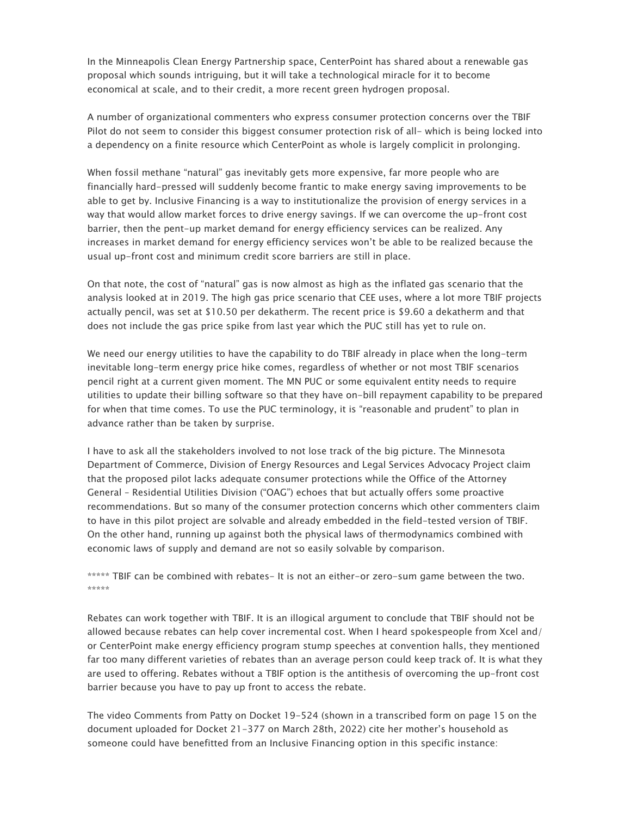In the Minneapolis Clean Energy Partnership space, CenterPoint has shared about a renewable gas proposal which sounds intriguing, but it will take a technological miracle for it to become economical at scale, and to their credit, a more recent green hydrogen proposal.

A number of organizational commenters who express consumer protection concerns over the TBIF Pilot do not seem to consider this biggest consumer protection risk of all- which is being locked into a dependency on a finite resource which CenterPoint as whole is largely complicit in prolonging.

When fossil methane "natural" gas inevitably gets more expensive, far more people who are financially hard-pressed will suddenly become frantic to make energy saving improvements to be able to get by. Inclusive Financing is a way to institutionalize the provision of energy services in a way that would allow market forces to drive energy savings. If we can overcome the up-front cost barrier, then the pent-up market demand for energy efficiency services can be realized. Any increases in market demand for energy efficiency services won't be able to be realized because the usual up-front cost and minimum credit score barriers are still in place.

On that note, the cost of "natural" gas is now almost as high as the inflated gas scenario that the analysis looked at in 2019. The high gas price scenario that CEE uses, where a lot more TBIF projects actually pencil, was set at \$10.50 per dekatherm. The recent price is \$9.60 a dekatherm and that does not include the gas price spike from last year which the PUC still has yet to rule on.

We need our energy utilities to have the capability to do TBIF already in place when the long-term inevitable long-term energy price hike comes, regardless of whether or not most TBIF scenarios pencil right at a current given moment. The MN PUC or some equivalent entity needs to require utilities to update their billing software so that they have on-bill repayment capability to be prepared for when that time comes. To use the PUC terminology, it is "reasonable and prudent" to plan in advance rather than be taken by surprise.

I have to ask all the stakeholders involved to not lose track of the big picture. The Minnesota Department of Commerce, Division of Energy Resources and Legal Services Advocacy Project claim that the proposed pilot lacks adequate consumer protections while the Office of the Attorney General – Residential Utilities Division ("OAG") echoes that but actually offers some proactive recommendations. But so many of the consumer protection concerns which other commenters claim to have in this pilot project are solvable and already embedded in the field-tested version of TBIF. On the other hand, running up against both the physical laws of thermodynamics combined with economic laws of supply and demand are not so easily solvable by comparison.

\*\*\*\*\* TBIF can be combined with rebates- It is not an either-or zero-sum game between the two. \*\*\*\*\*

Rebates can work together with TBIF. It is an illogical argument to conclude that TBIF should not be allowed because rebates can help cover incremental cost. When I heard spokespeople from Xcel and/ or CenterPoint make energy efficiency program stump speeches at convention halls, they mentioned far too many different varieties of rebates than an average person could keep track of. It is what they are used to offering. Rebates without a TBIF option is the antithesis of overcoming the up-front cost barrier because you have to pay up front to access the rebate.

The video Comments from Patty on Docket 19-524 (shown in a transcribed form on page 15 on the document uploaded for Docket 21-377 on March 28th, 2022) cite her mother's household as someone could have benefitted from an Inclusive Financing option in this specific instance: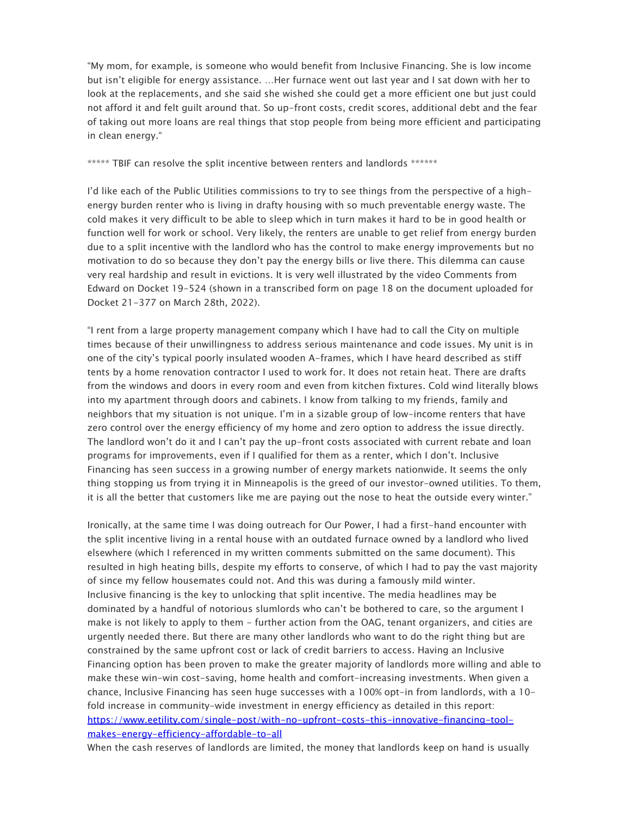"My mom, for example, is someone who would benefit from Inclusive Financing. She is low income but isn't eligible for energy assistance. …Her furnace went out last year and I sat down with her to look at the replacements, and she said she wished she could get a more efficient one but just could not afford it and felt guilt around that. So up-front costs, credit scores, additional debt and the fear of taking out more loans are real things that stop people from being more efficient and participating in clean energy."

\*\*\*\*\* TBIF can resolve the split incentive between renters and landlords \*\*\*\*\*\*

I'd like each of the Public Utilities commissions to try to see things from the perspective of a highenergy burden renter who is living in drafty housing with so much preventable energy waste. The cold makes it very difficult to be able to sleep which in turn makes it hard to be in good health or function well for work or school. Very likely, the renters are unable to get relief from energy burden due to a split incentive with the landlord who has the control to make energy improvements but no motivation to do so because they don't pay the energy bills or live there. This dilemma can cause very real hardship and result in evictions. It is very well illustrated by the video Comments from Edward on Docket 19-524 (shown in a transcribed form on page 18 on the document uploaded for Docket 21-377 on March 28th, 2022).

"I rent from a large property management company which I have had to call the City on multiple times because of their unwillingness to address serious maintenance and code issues. My unit is in one of the city's typical poorly insulated wooden A-frames, which I have heard described as stiff tents by a home renovation contractor I used to work for. It does not retain heat. There are drafts from the windows and doors in every room and even from kitchen fixtures. Cold wind literally blows into my apartment through doors and cabinets. I know from talking to my friends, family and neighbors that my situation is not unique. I'm in a sizable group of low-income renters that have zero control over the energy efficiency of my home and zero option to address the issue directly. The landlord won't do it and I can't pay the up-front costs associated with current rebate and loan programs for improvements, even if I qualified for them as a renter, which I don't. Inclusive Financing has seen success in a growing number of energy markets nationwide. It seems the only thing stopping us from trying it in Minneapolis is the greed of our investor-owned utilities. To them, it is all the better that customers like me are paying out the nose to heat the outside every winter."

Ironically, at the same time I was doing outreach for Our Power, I had a first-hand encounter with the split incentive living in a rental house with an outdated furnace owned by a landlord who lived elsewhere (which I referenced in my written comments submitted on the same document). This resulted in high heating bills, despite my efforts to conserve, of which I had to pay the vast majority of since my fellow housemates could not. And this was during a famously mild winter. Inclusive financing is the key to unlocking that split incentive. The media headlines may be dominated by a handful of notorious slumlords who can't be bothered to care, so the argument I make is not likely to apply to them - further action from the OAG, tenant organizers, and cities are urgently needed there. But there are many other landlords who want to do the right thing but are constrained by the same upfront cost or lack of credit barriers to access. Having an Inclusive Financing option has been proven to make the greater majority of landlords more willing and able to make these win-win cost-saving, home health and comfort-increasing investments. When given a chance, Inclusive Financing has seen huge successes with a 100% opt-in from landlords, with a 10 fold increase in community-wide investment in energy efficiency as detailed in this report: [https://www.eetility.com/single-post/with-no-upfront-costs-this-innovative-financing-tool](https://gcc02.safelinks.protection.outlook.com/?url=https%3A%2F%2Fwww.eetility.com%2Fsingle-post%2Fwith-no-upfront-costs-this-innovative-financing-tool-makes-energy-efficiency-affordable-to-all&data=05%7C01%7Cconsumer.puc%40state.mn.us%7Ca15117a69a9c47273c0408da2a38d970%7Ceb14b04624c445198f26b89c2159828c%7C0%7C0%7C637868721651502161%7CUnknown%7CTWFpbGZsb3d8eyJWIjoiMC4wLjAwMDAiLCJQIjoiV2luMzIiLCJBTiI6Ik1haWwiLCJXVCI6Mn0%3D%7C3000%7C%7C%7C&sdata=ol%2BJJIfbfSqZCHIP7yyhQSEupsGQkr2CHY5yZGZzzJ4%3D&reserved=0)[makes-energy-efficiency-affordable-to-all](https://gcc02.safelinks.protection.outlook.com/?url=https%3A%2F%2Fwww.eetility.com%2Fsingle-post%2Fwith-no-upfront-costs-this-innovative-financing-tool-makes-energy-efficiency-affordable-to-all&data=05%7C01%7Cconsumer.puc%40state.mn.us%7Ca15117a69a9c47273c0408da2a38d970%7Ceb14b04624c445198f26b89c2159828c%7C0%7C0%7C637868721651502161%7CUnknown%7CTWFpbGZsb3d8eyJWIjoiMC4wLjAwMDAiLCJQIjoiV2luMzIiLCJBTiI6Ik1haWwiLCJXVCI6Mn0%3D%7C3000%7C%7C%7C&sdata=ol%2BJJIfbfSqZCHIP7yyhQSEupsGQkr2CHY5yZGZzzJ4%3D&reserved=0)

When the cash reserves of landlords are limited, the money that landlords keep on hand is usually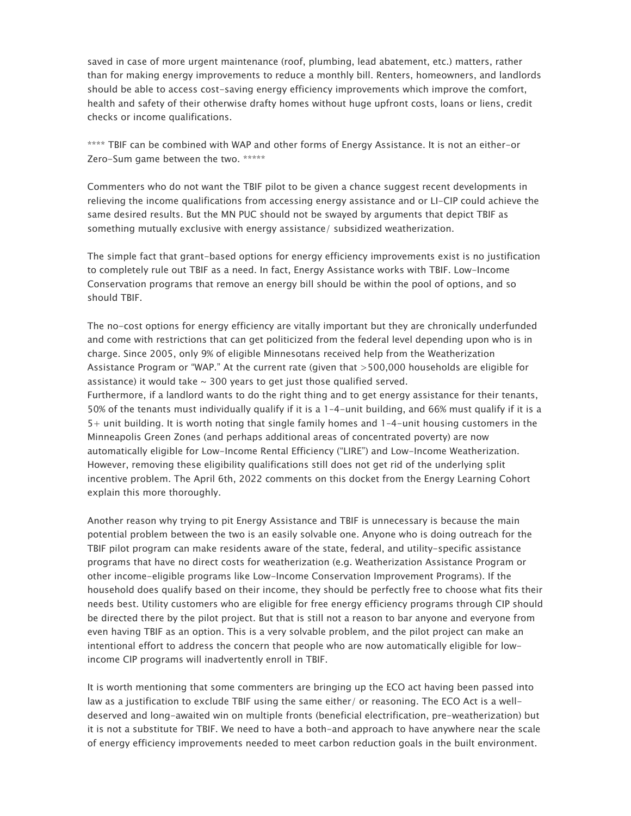saved in case of more urgent maintenance (roof, plumbing, lead abatement, etc.) matters, rather than for making energy improvements to reduce a monthly bill. Renters, homeowners, and landlords should be able to access cost-saving energy efficiency improvements which improve the comfort, health and safety of their otherwise drafty homes without huge upfront costs, loans or liens, credit checks or income qualifications.

\*\*\*\* TBIF can be combined with WAP and other forms of Energy Assistance. It is not an either-or Zero-Sum game between the two. \*\*\*\*\*

Commenters who do not want the TBIF pilot to be given a chance suggest recent developments in relieving the income qualifications from accessing energy assistance and or LI-CIP could achieve the same desired results. But the MN PUC should not be swayed by arguments that depict TBIF as something mutually exclusive with energy assistance/ subsidized weatherization.

The simple fact that grant-based options for energy efficiency improvements exist is no justification to completely rule out TBIF as a need. In fact, Energy Assistance works with TBIF. Low-Income Conservation programs that remove an energy bill should be within the pool of options, and so should TBIF.

The no-cost options for energy efficiency are vitally important but they are chronically underfunded and come with restrictions that can get politicized from the federal level depending upon who is in charge. Since 2005, only 9% of eligible Minnesotans received help from the Weatherization Assistance Program or "WAP." At the current rate (given that >500,000 households are eligible for assistance) it would take  $\sim$  300 years to get just those qualified served. Furthermore, if a landlord wants to do the right thing and to get energy assistance for their tenants, 50% of the tenants must individually qualify if it is a 1–4-unit building, and 66% must qualify if it is a 5+ unit building. It is worth noting that single family homes and 1–4-unit housing customers in the Minneapolis Green Zones (and perhaps additional areas of concentrated poverty) are now automatically eligible for Low-Income Rental Efficiency ("LIRE") and Low-Income Weatherization. However, removing these eligibility qualifications still does not get rid of the underlying split incentive problem. The April 6th, 2022 comments on this docket from the Energy Learning Cohort explain this more thoroughly.

Another reason why trying to pit Energy Assistance and TBIF is unnecessary is because the main potential problem between the two is an easily solvable one. Anyone who is doing outreach for the TBIF pilot program can make residents aware of the state, federal, and utility-specific assistance programs that have no direct costs for weatherization (e.g. Weatherization Assistance Program or other income-eligible programs like Low-Income Conservation Improvement Programs). If the household does qualify based on their income, they should be perfectly free to choose what fits their needs best. Utility customers who are eligible for free energy efficiency programs through CIP should be directed there by the pilot project. But that is still not a reason to bar anyone and everyone from even having TBIF as an option. This is a very solvable problem, and the pilot project can make an intentional effort to address the concern that people who are now automatically eligible for lowincome CIP programs will inadvertently enroll in TBIF.

It is worth mentioning that some commenters are bringing up the ECO act having been passed into law as a justification to exclude TBIF using the same either/ or reasoning. The ECO Act is a welldeserved and long-awaited win on multiple fronts (beneficial electrification, pre-weatherization) but it is not a substitute for TBIF. We need to have a both-and approach to have anywhere near the scale of energy efficiency improvements needed to meet carbon reduction goals in the built environment.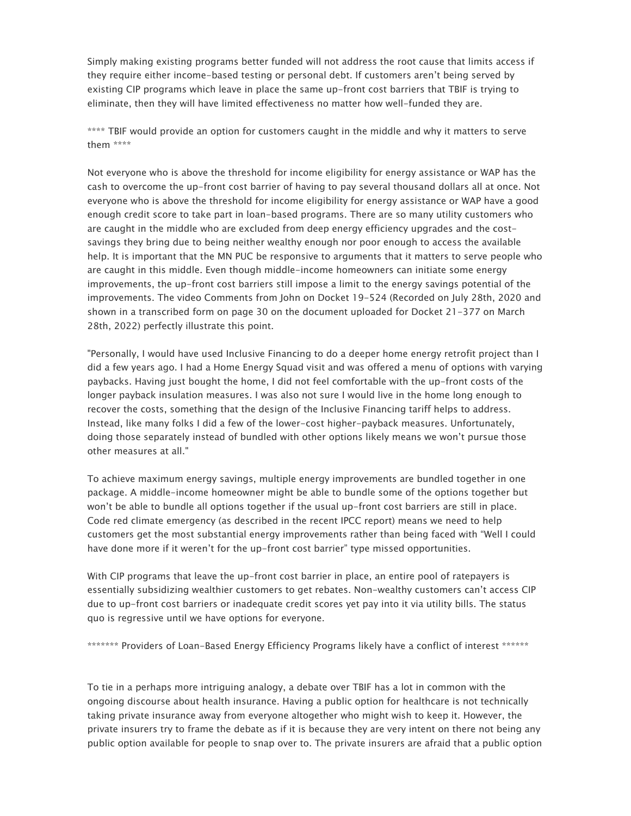Simply making existing programs better funded will not address the root cause that limits access if they require either income-based testing or personal debt. If customers aren't being served by existing CIP programs which leave in place the same up-front cost barriers that TBIF is trying to eliminate, then they will have limited effectiveness no matter how well-funded they are.

\*\*\*\* TBIF would provide an option for customers caught in the middle and why it matters to serve them \*\*\*\*

Not everyone who is above the threshold for income eligibility for energy assistance or WAP has the cash to overcome the up-front cost barrier of having to pay several thousand dollars all at once. Not everyone who is above the threshold for income eligibility for energy assistance or WAP have a good enough credit score to take part in loan-based programs. There are so many utility customers who are caught in the middle who are excluded from deep energy efficiency upgrades and the costsavings they bring due to being neither wealthy enough nor poor enough to access the available help. It is important that the MN PUC be responsive to arguments that it matters to serve people who are caught in this middle. Even though middle-income homeowners can initiate some energy improvements, the up-front cost barriers still impose a limit to the energy savings potential of the improvements. The video Comments from John on Docket 19-524 (Recorded on July 28th, 2020 and shown in a transcribed form on page 30 on the document uploaded for Docket 21-377 on March 28th, 2022) perfectly illustrate this point.

"Personally, I would have used Inclusive Financing to do a deeper home energy retrofit project than I did a few years ago. I had a Home Energy Squad visit and was offered a menu of options with varying paybacks. Having just bought the home, I did not feel comfortable with the up-front costs of the longer payback insulation measures. I was also not sure I would live in the home long enough to recover the costs, something that the design of the Inclusive Financing tariff helps to address. Instead, like many folks I did a few of the lower-cost higher-payback measures. Unfortunately, doing those separately instead of bundled with other options likely means we won't pursue those other measures at all."

To achieve maximum energy savings, multiple energy improvements are bundled together in one package. A middle-income homeowner might be able to bundle some of the options together but won't be able to bundle all options together if the usual up-front cost barriers are still in place. Code red climate emergency (as described in the recent IPCC report) means we need to help customers get the most substantial energy improvements rather than being faced with "Well I could have done more if it weren't for the up-front cost barrier" type missed opportunities.

With CIP programs that leave the up-front cost barrier in place, an entire pool of ratepayers is essentially subsidizing wealthier customers to get rebates. Non-wealthy customers can't access CIP due to up-front cost barriers or inadequate credit scores yet pay into it via utility bills. The status quo is regressive until we have options for everyone.

\*\*\*\*\*\*\* Providers of Loan-Based Energy Efficiency Programs likely have a conflict of interest \*\*\*\*\*\*

To tie in a perhaps more intriguing analogy, a debate over TBIF has a lot in common with the ongoing discourse about health insurance. Having a public option for healthcare is not technically taking private insurance away from everyone altogether who might wish to keep it. However, the private insurers try to frame the debate as if it is because they are very intent on there not being any public option available for people to snap over to. The private insurers are afraid that a public option